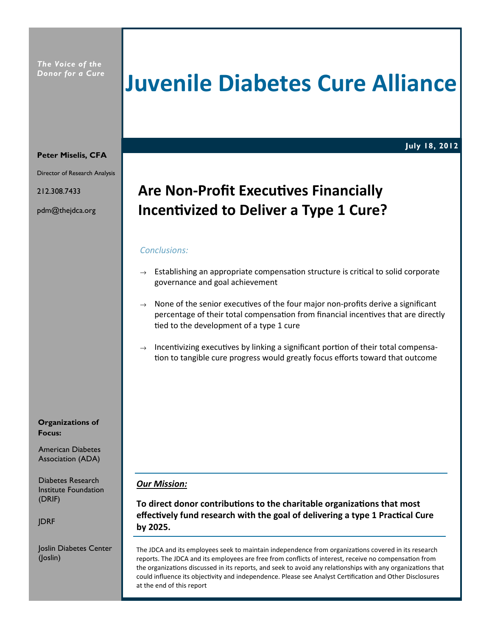The Voice of the Donor for a Cure

# Juvenile Diabetes Cure Alliance

### July 18, 2012

#### Peter Miselis, CFA

Director of Research Analysis

212.308.7433

pdm@thejdca.org

# Are Non-Profit Executives Financially Incentivized to Deliver a Type 1 Cure?

#### Conclusions:

- $\rightarrow$  Establishing an appropriate compensation structure is critical to solid corporate governance and goal achievement
- $\rightarrow$  None of the senior executives of the four major non-profits derive a significant percentage of their total compensation from financial incentives that are directly tied to the development of a type 1 cure
- $\rightarrow$  Incentivizing executives by linking a significant portion of their total compensation to tangible cure progress would greatly focus efforts toward that outcome

#### Our Mission:

To direct donor contributions to the charitable organizations that most effectively fund research with the goal of delivering a type 1 Practical Cure by 2025.

The JDCA and its employees seek to maintain independence from organizations covered in its research reports. The JDCA and its employees are free from conflicts of interest, receive no compensation from the organizations discussed in its reports, and seek to avoid any relationships with any organizations that could influence its objectivity and independence. Please see Analyst Certification and Other Disclosures at the end of this report

Organizations of Focus:

Association (ADA)

Institute Foundation (DRIF)

JDRF

Joslin Diabetes Center (Joslin)

American Diabetes

Diabetes Research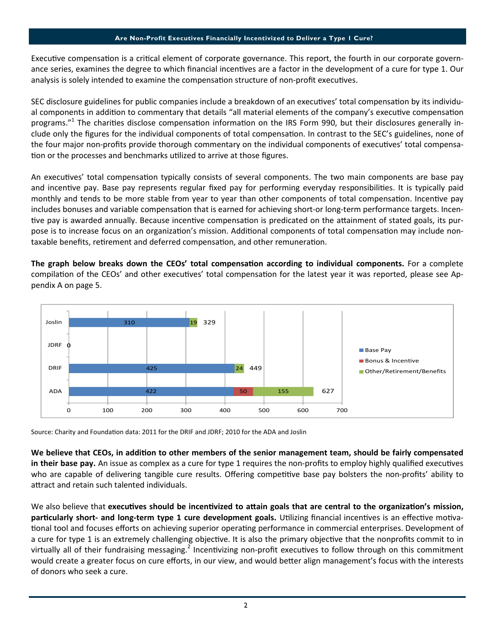#### Are Non-Profit Executives Financially Incentivized to Deliver a Type 1 Cure?

Executive compensation is a critical element of corporate governance. This report, the fourth in our corporate governance series, examines the degree to which financial incentives are a factor in the development of a cure for type 1. Our analysis is solely intended to examine the compensation structure of non-profit executives.

SEC disclosure guidelines for public companies include a breakdown of an executives' total compensation by its individual components in addition to commentary that details "all material elements of the company's executive compensation programs."<sup>1</sup> The charities disclose compensation information on the IRS Form 990, but their disclosures generally include only the figures for the individual components of total compensation. In contrast to the SEC's guidelines, none of the four major non-profits provide thorough commentary on the individual components of executives' total compensation or the processes and benchmarks utilized to arrive at those figures.

An executives' total compensation typically consists of several components. The two main components are base pay and incentive pay. Base pay represents regular fixed pay for performing everyday responsibilities. It is typically paid monthly and tends to be more stable from year to year than other components of total compensation. Incentive pay includes bonuses and variable compensation that is earned for achieving short-or long-term performance targets. Incentive pay is awarded annually. Because incentive compensation is predicated on the attainment of stated goals, its purpose is to increase focus on an organization's mission. Additional components of total compensation may include nontaxable benefits, retirement and deferred compensation, and other remuneration.

The graph below breaks down the CEOs' total compensation according to individual components. For a complete compilation of the CEOs' and other executives' total compensation for the latest year it was reported, please see Appendix A on page 5.



Source: Charity and Foundation data: 2011 for the DRIF and JDRF; 2010 for the ADA and Joslin

We believe that CEOs, in addition to other members of the senior management team, should be fairly compensated in their base pay. An issue as complex as a cure for type 1 requires the non-profits to employ highly qualified executives who are capable of delivering tangible cure results. Offering competitive base pay bolsters the non-profits' ability to attract and retain such talented individuals.

We also believe that executives should be incentivized to attain goals that are central to the organization's mission, particularly short- and long-term type 1 cure development goals. Utilizing financial incentives is an effective motivational tool and focuses efforts on achieving superior operating performance in commercial enterprises. Development of a cure for type 1 is an extremely challenging objective. It is also the primary objective that the nonprofits commit to in virtually all of their fundraising messaging.<sup>2</sup> Incentivizing non-profit executives to follow through on this commitment would create a greater focus on cure efforts, in our view, and would better align management's focus with the interests of donors who seek a cure.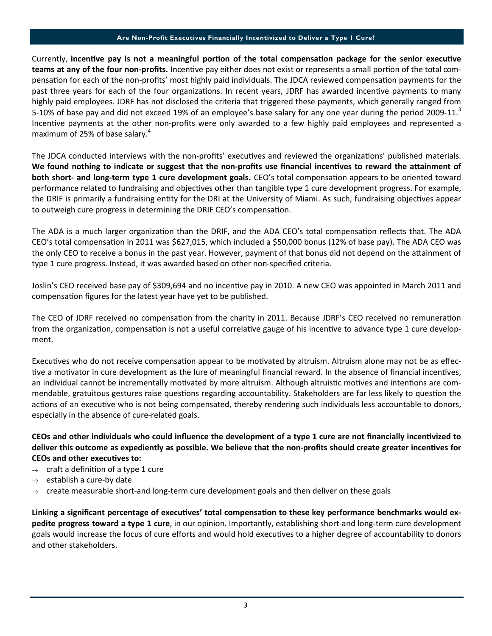#### Are Non-Profit Executives Financially Incentivized to Deliver a Type 1 Cure?

Currently, incentive pay is not a meaningful portion of the total compensation package for the senior executive teams at any of the four non-profits. Incentive pay either does not exist or represents a small portion of the total compensation for each of the non-profits' most highly paid individuals. The JDCA reviewed compensation payments for the past three years for each of the four organizations. In recent years, JDRF has awarded incentive payments to many highly paid employees. JDRF has not disclosed the criteria that triggered these payments, which generally ranged from 5-10% of base pay and did not exceed 19% of an employee's base salary for any one year during the period 2009-11.<sup>3</sup> Incentive payments at the other non-profits were only awarded to a few highly paid employees and represented a maximum of 25% of base salary.<sup>4</sup>

The JDCA conducted interviews with the non-profits' executives and reviewed the organizations' published materials. We found nothing to indicate or suggest that the non-profits use financial incentives to reward the attainment of both short- and long-term type 1 cure development goals. CEO's total compensation appears to be oriented toward performance related to fundraising and objectives other than tangible type 1 cure development progress. For example, the DRIF is primarily a fundraising entity for the DRI at the University of Miami. As such, fundraising objectives appear to outweigh cure progress in determining the DRIF CEO's compensation.

The ADA is a much larger organization than the DRIF, and the ADA CEO's total compensation reflects that. The ADA CEO's total compensation in 2011 was \$627,015, which included a \$50,000 bonus (12% of base pay). The ADA CEO was the only CEO to receive a bonus in the past year. However, payment of that bonus did not depend on the attainment of type 1 cure progress. Instead, it was awarded based on other non-specified criteria.

Joslin's CEO received base pay of \$309,694 and no incentive pay in 2010. A new CEO was appointed in March 2011 and compensation figures for the latest year have yet to be published.

The CEO of JDRF received no compensation from the charity in 2011. Because JDRF's CEO received no remuneration from the organization, compensation is not a useful correlative gauge of his incentive to advance type 1 cure development.

Executives who do not receive compensation appear to be motivated by altruism. Altruism alone may not be as effective a motivator in cure development as the lure of meaningful financial reward. In the absence of financial incentives, an individual cannot be incrementally motivated by more altruism. Although altruistic motives and intentions are commendable, gratuitous gestures raise questions regarding accountability. Stakeholders are far less likely to question the actions of an executive who is not being compensated, thereby rendering such individuals less accountable to donors, especially in the absence of cure-related goals.

CEOs and other individuals who could influence the development of a type 1 cure are not financially incentivized to deliver this outcome as expediently as possible. We believe that the non-profits should create greater incentives for CEOs and other executives to:

- $\rightarrow$  craft a definition of a type 1 cure
- $\rightarrow$  establish a cure-by date
- $\rightarrow$  create measurable short-and long-term cure development goals and then deliver on these goals

Linking a significant percentage of executives' total compensation to these key performance benchmarks would expedite progress toward a type 1 cure, in our opinion. Importantly, establishing short-and long-term cure development goals would increase the focus of cure efforts and would hold executives to a higher degree of accountability to donors and other stakeholders.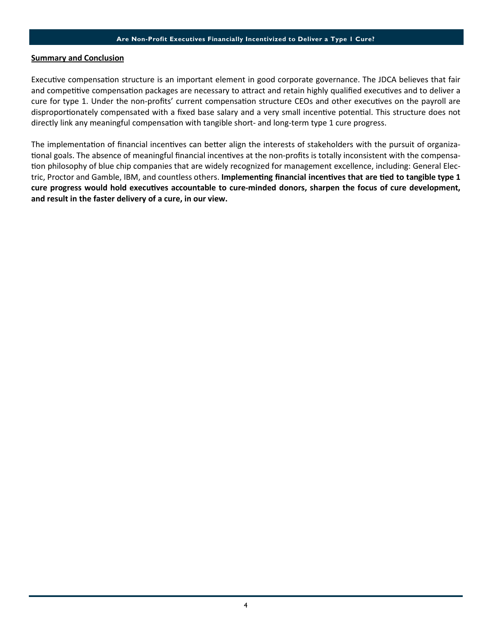#### Are Non-Profit Executives Financially Incentivized to Deliver a Type 1 Cure?

#### Summary and Conclusion

Executive compensation structure is an important element in good corporate governance. The JDCA believes that fair and competitive compensation packages are necessary to attract and retain highly qualified executives and to deliver a cure for type 1. Under the non-profits' current compensation structure CEOs and other executives on the payroll are disproportionately compensated with a fixed base salary and a very small incentive potential. This structure does not directly link any meaningful compensation with tangible short- and long-term type 1 cure progress.

The implementation of financial incentives can better align the interests of stakeholders with the pursuit of organizational goals. The absence of meaningful financial incentives at the non-profits is totally inconsistent with the compensation philosophy of blue chip companies that are widely recognized for management excellence, including: General Electric, Proctor and Gamble, IBM, and countless others. Implementing financial incentives that are tied to tangible type 1 cure progress would hold executives accountable to cure-minded donors, sharpen the focus of cure development, and result in the faster delivery of a cure, in our view.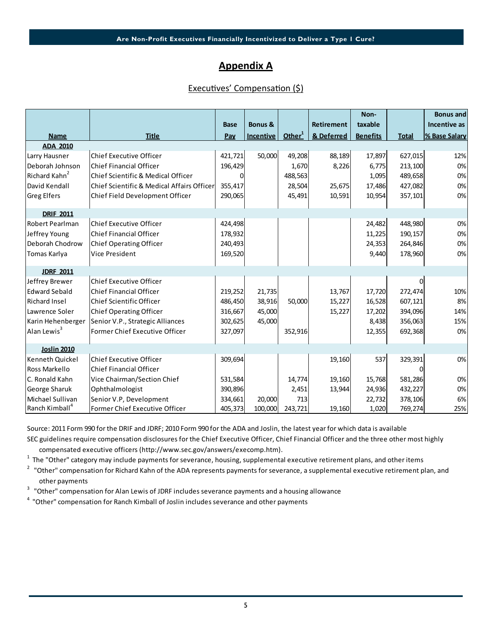## Appendix A

### Executives' Compensation (\$)

|                                |                                            | <b>Base</b> | <b>Bonus &amp;</b> |                    | Retirement | Non-<br>taxable |              | <b>Bonus and</b><br>Incentive as |
|--------------------------------|--------------------------------------------|-------------|--------------------|--------------------|------------|-----------------|--------------|----------------------------------|
|                                | <b>Title</b>                               |             | <b>Incentive</b>   | Other <sup>1</sup> | & Deferred | <b>Benefits</b> | <b>Total</b> | % Base Salary                    |
| <b>Name</b><br><b>ADA 2010</b> |                                            | Pay         |                    |                    |            |                 |              |                                  |
| Larry Hausner                  | <b>Chief Executive Officer</b>             | 421,721     | 50,000             | 49,208             | 88,189     | 17,897          | 627,015      | 12%                              |
| Deborah Johnson                | <b>Chief Financial Officer</b>             | 196,429     |                    | 1,670              | 8,226      | 6,775           | 213,100      | 0%                               |
| Richard Kahn <sup>2</sup>      | Chief Scientific & Medical Officer         |             |                    | 488,563            |            | 1,095           | 489,658      | 0%                               |
| David Kendall                  | Chief Scientific & Medical Affairs Officer | 355,417     |                    | 28,504             | 25,675     | 17,486          | 427,082      | 0%                               |
| <b>Greg Elfers</b>             | Chief Field Development Officer            | 290,065     |                    | 45,491             | 10,591     | 10,954          | 357,101      | 0%                               |
| <b>DRIF 2011</b>               |                                            |             |                    |                    |            |                 |              |                                  |
| <b>Robert Pearlman</b>         | <b>Chief Executive Officer</b>             | 424,498     |                    |                    |            | 24,482          | 448,980      | 0%                               |
| Jeffrey Young                  | <b>Chief Financial Officer</b>             | 178,932     |                    |                    |            | 11,225          | 190,157      | 0%                               |
| Deborah Chodrow                | <b>Chief Operating Officer</b>             | 240,493     |                    |                    |            | 24,353          | 264,846      | 0%                               |
| Tomas Karlya                   | Vice President                             | 169,520     |                    |                    |            | 9,440           | 178,960      | 0%                               |
| <b>JDRF 2011</b>               |                                            |             |                    |                    |            |                 |              |                                  |
| Jeffrey Brewer                 | Chief Executive Officer                    |             |                    |                    |            |                 | $\Omega$     |                                  |
| <b>Edward Sebald</b>           | <b>Chief Financial Officer</b>             | 219,252     | 21,735             |                    | 13,767     | 17,720          | 272,474      | 10%                              |
| <b>Richard Insel</b>           | Chief Scientific Officer                   | 486,450     | 38,916             | 50,000             | 15,227     | 16,528          | 607,121      | 8%                               |
| Lawrence Soler                 | <b>Chief Operating Officer</b>             | 316,667     | 45,000             |                    | 15,227     | 17,202          | 394,096      | 14%                              |
| Karin Hehenberger              | Senior V.P., Strategic Alliances           | 302,625     | 45,000             |                    |            | 8,438           | 356,063      | 15%                              |
| Alan Lewis <sup>3</sup>        | Former Chief Executive Officer             | 327,097     |                    | 352,916            |            | 12,355          | 692,368      | 0%                               |
| <b>Joslin 2010</b>             |                                            |             |                    |                    |            |                 |              |                                  |
| Kenneth Quickel                | Chief Executive Officer                    | 309,694     |                    |                    | 19,160     | 537             | 329,391      | 0%                               |
| Ross Markello                  | <b>Chief Financial Officer</b>             |             |                    |                    |            |                 | $\Omega$     |                                  |
| C. Ronald Kahn                 | Vice Chairman/Section Chief                | 531,584     |                    | 14,774             | 19,160     | 15,768          | 581,286      | 0%                               |
| George Sharuk                  | Ophthalmologist                            | 390,896     |                    | 2,451              | 13,944     | 24,936          | 432,227      | 0%                               |
| Michael Sullivan               | Senior V.P, Development                    | 334,661     | 20,000             | 713                |            | 22,732          | 378,106      | 6%                               |
| Ranch Kimball <sup>4</sup>     | Former Chief Executive Officer             | 405,373     | 100,000            | 243,721            | 19,160     | 1,020           | 769,274      | 25%                              |

Source: 2011 Form 990 for the DRIF and JDRF; 2010 Form 990 for the ADA and Joslin, the latest year for which data is available

SEC guidelines require compensation disclosures for the Chief Executive Officer, Chief Financial Officer and the three other most highly compensated executive officers (http://www.sec.gov/answers/execomp.htm).

 $^1$  The "Other" category may include payments for severance, housing, supplemental executive retirement plans, and other items

<sup>2</sup> "Other" compensation for Richard Kahn of the ADA represents payments for severance, a supplemental executive retirement plan, and other payments

<sup>3</sup> "Other" compensation for Alan Lewis of JDRF includes severance payments and a housing allowance

<sup>4</sup> "Other" compensation for Ranch Kimball of Joslin includes severance and other payments